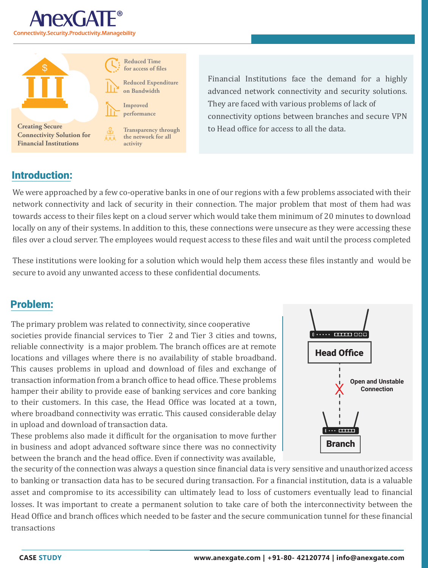



**Reduced Time** for access of files **Reduced Expenditure**

**Improved**

**Transparency through the network for all activity**

Financial Institutions face the demand for a highly advanced network connectivity and security solutions. They are faced with various problems of lack of connectivity options between branches and secure VPN to Head office for access to all the data.

## Introduction:

We were approached by a few co-operative banks in one of our regions with a few problems associated with their network connectivity and lack of security in their connection. The major problem that most of them had was towards access to their �iles kept on a cloud server which would take them minimum of 20 minutes to download locally on any of their systems. In addition to this, these connections were unsecure as they were accessing these files over a cloud server. The employees would request access to these files and wait until the process completed

These institutions were looking for a solution which would help them access these �iles instantly and would be secure to avoid any unwanted access to these confidential documents.

## Problem:

The primary problem was related to connectivity, since cooperative societies provide �inancial services to Tier 2 and Tier 3 cities and towns, reliable connectivity is a major problem. The branch offices are at remote locations and villages where there is no availability of stable broadband. This causes problems in upload and download of �iles and exchange of transaction information from a branch office to head office. These problems hamper their ability to provide ease of banking services and core banking to their customers. In this case, the Head Office was located at a town, where broadband connectivity was erratic. This caused considerable delay in upload and download of transaction data.

These problems also made it difficult for the organisation to move further in business and adopt advanced software since there was no connectivity between the branch and the head office. Even if connectivity was available,



the security of the connection was always a question since financial data is very sensitive and unauthorized access to banking or transaction data has to be secured during transaction. For a financial institution, data is a valuable asset and compromise to its accessibility can ultimately lead to loss of customers eventually lead to financial losses. It was important to create a permanent solution to take care of both the interconnectivity between the Head Office and branch offices which needed to be faster and the secure communication tunnel for these financial transactions